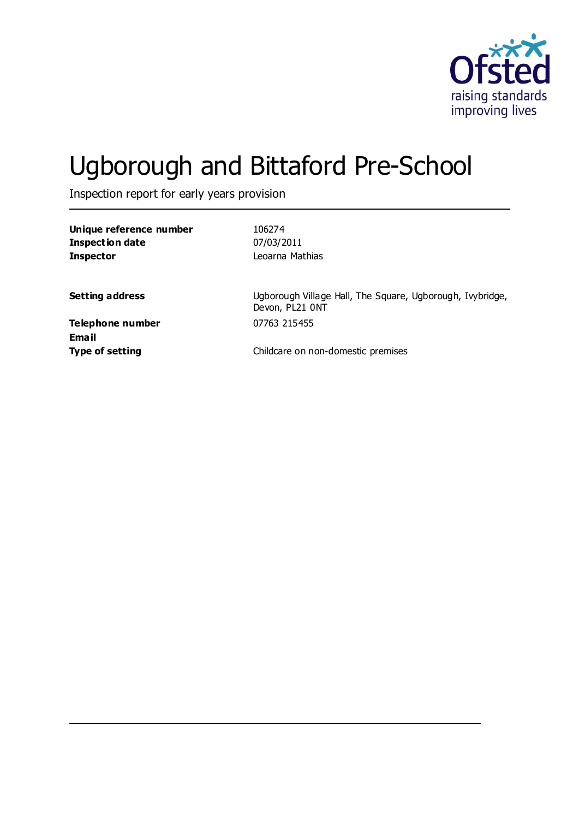

# Ugborough and Bittaford Pre-School

Inspection report for early years provision

**Unique reference number** 106274 **Inspection date** 07/03/2011 **Inspector** Leoarna Mathias

**Setting address** Ugborough Village Hall, The Square, Ugborough, Ivybridge, Devon, PL21 0NT

**Telephone number** 07763 215455 **Email**

**Type of setting** Childcare on non-domestic premises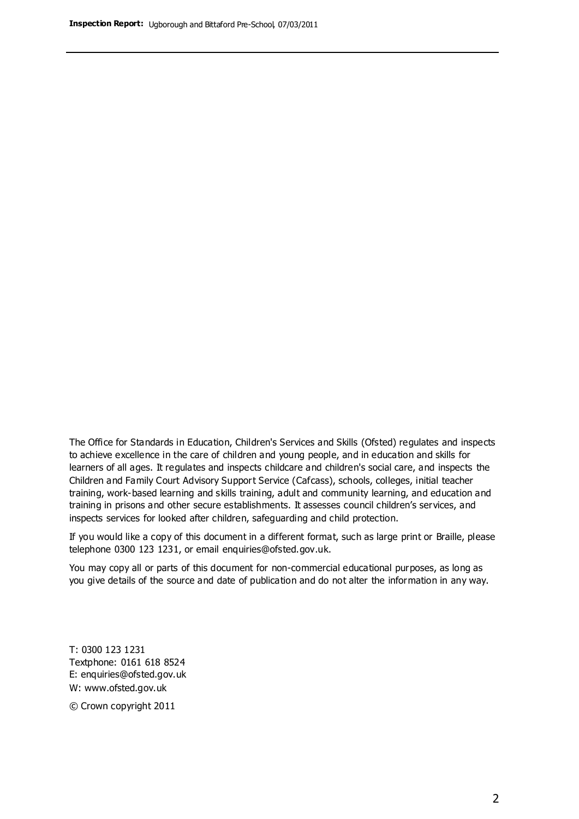The Office for Standards in Education, Children's Services and Skills (Ofsted) regulates and inspects to achieve excellence in the care of children and young people, and in education and skills for learners of all ages. It regulates and inspects childcare and children's social care, and inspects the Children and Family Court Advisory Support Service (Cafcass), schools, colleges, initial teacher training, work-based learning and skills training, adult and community learning, and education and training in prisons and other secure establishments. It assesses council children's services, and inspects services for looked after children, safeguarding and child protection.

If you would like a copy of this document in a different format, such as large print or Braille, please telephone 0300 123 1231, or email enquiries@ofsted.gov.uk.

You may copy all or parts of this document for non-commercial educational purposes, as long as you give details of the source and date of publication and do not alter the information in any way.

T: 0300 123 1231 Textphone: 0161 618 8524 E: enquiries@ofsted.gov.uk W: [www.ofsted.gov.uk](http://www.ofsted.gov.uk/)

© Crown copyright 2011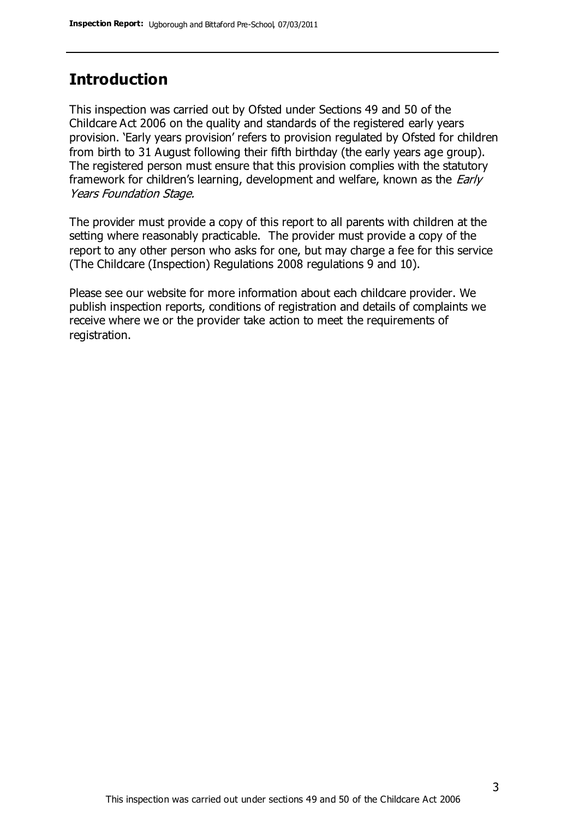### **Introduction**

This inspection was carried out by Ofsted under Sections 49 and 50 of the Childcare Act 2006 on the quality and standards of the registered early years provision. 'Early years provision' refers to provision regulated by Ofsted for children from birth to 31 August following their fifth birthday (the early years age group). The registered person must ensure that this provision complies with the statutory framework for children's learning, development and welfare, known as the *Early* Years Foundation Stage.

The provider must provide a copy of this report to all parents with children at the setting where reasonably practicable. The provider must provide a copy of the report to any other person who asks for one, but may charge a fee for this service (The Childcare (Inspection) Regulations 2008 regulations 9 and 10).

Please see our website for more information about each childcare provider. We publish inspection reports, conditions of registration and details of complaints we receive where we or the provider take action to meet the requirements of registration.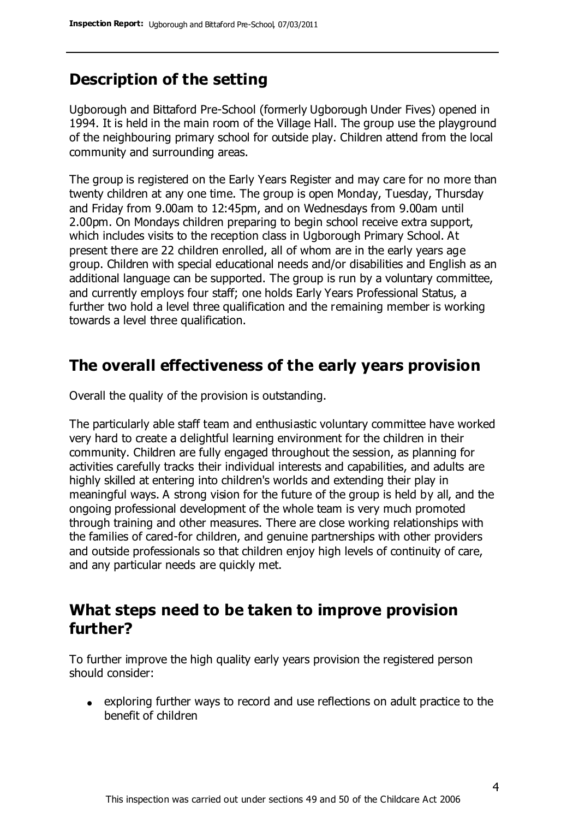### **Description of the setting**

Ugborough and Bittaford Pre-School (formerly Ugborough Under Fives) opened in 1994. It is held in the main room of the Village Hall. The group use the playground of the neighbouring primary school for outside play. Children attend from the local community and surrounding areas.

The group is registered on the Early Years Register and may care for no more than twenty children at any one time. The group is open Monday, Tuesday, Thursday and Friday from 9.00am to 12:45pm, and on Wednesdays from 9.00am until 2.00pm. On Mondays children preparing to begin school receive extra support, which includes visits to the reception class in Ugborough Primary School. At present there are 22 children enrolled, all of whom are in the early years age group. Children with special educational needs and/or disabilities and English as an additional language can be supported. The group is run by a voluntary committee, and currently employs four staff; one holds Early Years Professional Status, a further two hold a level three qualification and the remaining member is working towards a level three qualification.

### **The overall effectiveness of the early years provision**

Overall the quality of the provision is outstanding.

The particularly able staff team and enthusiastic voluntary committee have worked very hard to create a delightful learning environment for the children in their community. Children are fully engaged throughout the session, as planning for activities carefully tracks their individual interests and capabilities, and adults are highly skilled at entering into children's worlds and extending their play in meaningful ways. A strong vision for the future of the group is held by all, and the ongoing professional development of the whole team is very much promoted through training and other measures. There are close working relationships with the families of cared-for children, and genuine partnerships with other providers and outside professionals so that children enjoy high levels of continuity of care, and any particular needs are quickly met.

### **What steps need to be taken to improve provision further?**

To further improve the high quality early years provision the registered person should consider:

exploring further ways to record and use reflections on adult practice to the benefit of children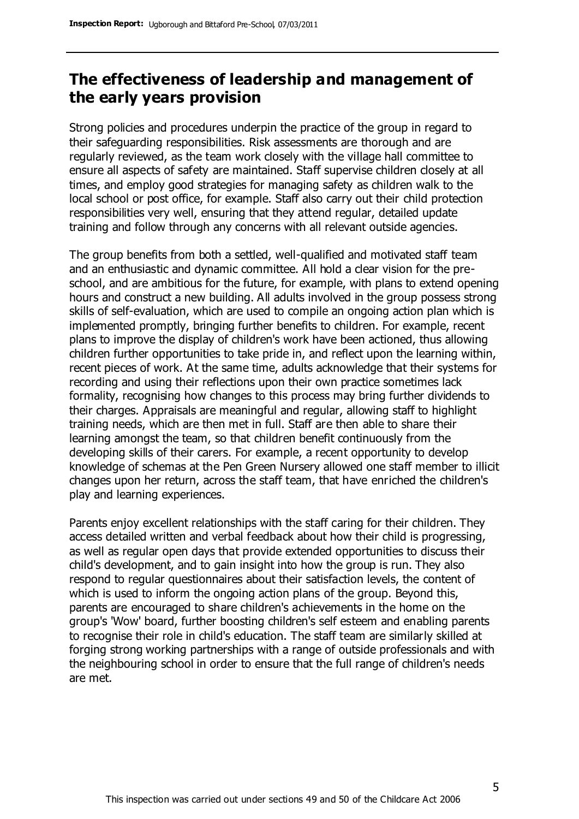### **The effectiveness of leadership and management of the early years provision**

Strong policies and procedures underpin the practice of the group in regard to their safeguarding responsibilities. Risk assessments are thorough and are regularly reviewed, as the team work closely with the village hall committee to ensure all aspects of safety are maintained. Staff supervise children closely at all times, and employ good strategies for managing safety as children walk to the local school or post office, for example. Staff also carry out their child protection responsibilities very well, ensuring that they attend regular, detailed update training and follow through any concerns with all relevant outside agencies.

The group benefits from both a settled, well-qualified and motivated staff team and an enthusiastic and dynamic committee. All hold a clear vision for the preschool, and are ambitious for the future, for example, with plans to extend opening hours and construct a new building. All adults involved in the group possess strong skills of self-evaluation, which are used to compile an ongoing action plan which is implemented promptly, bringing further benefits to children. For example, recent plans to improve the display of children's work have been actioned, thus allowing children further opportunities to take pride in, and reflect upon the learning within, recent pieces of work. At the same time, adults acknowledge that their systems for recording and using their reflections upon their own practice sometimes lack formality, recognising how changes to this process may bring further dividends to their charges. Appraisals are meaningful and regular, allowing staff to highlight training needs, which are then met in full. Staff are then able to share their learning amongst the team, so that children benefit continuously from the developing skills of their carers. For example, a recent opportunity to develop knowledge of schemas at the Pen Green Nursery allowed one staff member to illicit changes upon her return, across the staff team, that have enriched the children's play and learning experiences.

Parents enjoy excellent relationships with the staff caring for their children. They access detailed written and verbal feedback about how their child is progressing, as well as regular open days that provide extended opportunities to discuss their child's development, and to gain insight into how the group is run. They also respond to regular questionnaires about their satisfaction levels, the content of which is used to inform the ongoing action plans of the group. Beyond this, parents are encouraged to share children's achievements in the home on the group's 'Wow' board, further boosting children's self esteem and enabling parents to recognise their role in child's education. The staff team are similarly skilled at forging strong working partnerships with a range of outside professionals and with the neighbouring school in order to ensure that the full range of children's needs are met.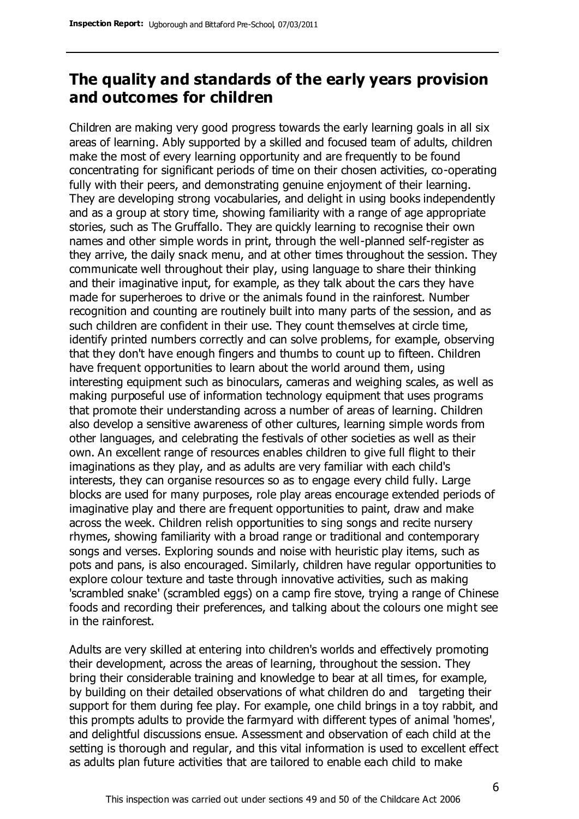### **The quality and standards of the early years provision and outcomes for children**

Children are making very good progress towards the early learning goals in all six areas of learning. Ably supported by a skilled and focused team of adults, children make the most of every learning opportunity and are frequently to be found concentrating for significant periods of time on their chosen activities, co-operating fully with their peers, and demonstrating genuine enjoyment of their learning. They are developing strong vocabularies, and delight in using books independently and as a group at story time, showing familiarity with a range of age appropriate stories, such as The Gruffallo. They are quickly learning to recognise their own names and other simple words in print, through the well-planned self-register as they arrive, the daily snack menu, and at other times throughout the session. They communicate well throughout their play, using language to share their thinking and their imaginative input, for example, as they talk about the cars they have made for superheroes to drive or the animals found in the rainforest. Number recognition and counting are routinely built into many parts of the session, and as such children are confident in their use. They count themselves at circle time, identify printed numbers correctly and can solve problems, for example, observing that they don't have enough fingers and thumbs to count up to fifteen. Children have frequent opportunities to learn about the world around them, using interesting equipment such as binoculars, cameras and weighing scales, as well as making purposeful use of information technology equipment that uses programs that promote their understanding across a number of areas of learning. Children also develop a sensitive awareness of other cultures, learning simple words from other languages, and celebrating the festivals of other societies as well as their own. An excellent range of resources enables children to give full flight to their imaginations as they play, and as adults are very familiar with each child's interests, they can organise resources so as to engage every child fully. Large blocks are used for many purposes, role play areas encourage extended periods of imaginative play and there are frequent opportunities to paint, draw and make across the week. Children relish opportunities to sing songs and recite nursery rhymes, showing familiarity with a broad range or traditional and contemporary songs and verses. Exploring sounds and noise with heuristic play items, such as pots and pans, is also encouraged. Similarly, children have regular opportunities to explore colour texture and taste through innovative activities, such as making 'scrambled snake' (scrambled eggs) on a camp fire stove, trying a range of Chinese foods and recording their preferences, and talking about the colours one might see in the rainforest.

Adults are very skilled at entering into children's worlds and effectively promoting their development, across the areas of learning, throughout the session. They bring their considerable training and knowledge to bear at all times, for example, by building on their detailed observations of what children do and targeting their support for them during fee play. For example, one child brings in a toy rabbit, and this prompts adults to provide the farmyard with different types of animal 'homes', and delightful discussions ensue. Assessment and observation of each child at the setting is thorough and regular, and this vital information is used to excellent effect as adults plan future activities that are tailored to enable each child to make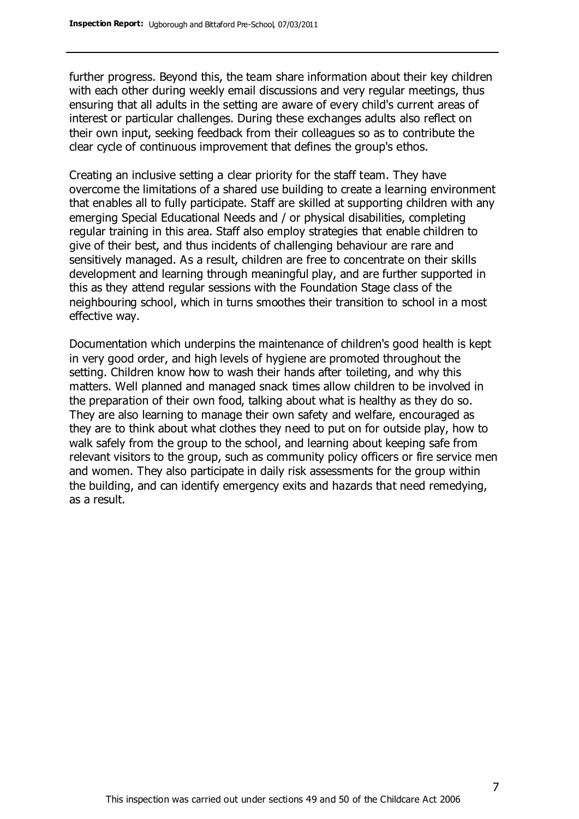further progress. Beyond this, the team share information about their key children with each other during weekly email discussions and very regular meetings, thus ensuring that all adults in the setting are aware of every child's current areas of interest or particular challenges. During these exchanges adults also reflect on their own input, seeking feedback from their colleagues so as to contribute the clear cycle of continuous improvement that defines the group's ethos.

Creating an inclusive setting a clear priority for the staff team. They have overcome the limitations of a shared use building to create a learning environment that enables all to fully participate. Staff are skilled at supporting children with any emerging Special Educational Needs and / or physical disabilities, completing regular training in this area. Staff also employ strategies that enable children to give of their best, and thus incidents of challenging behaviour are rare and sensitively managed. As a result, children are free to concentrate on their skills development and learning through meaningful play, and are further supported in this as they attend regular sessions with the Foundation Stage class of the neighbouring school, which in turns smoothes their transition to school in a most effective way.

Documentation which underpins the maintenance of children's good health is kept in very good order, and high levels of hygiene are promoted throughout the setting. Children know how to wash their hands after toileting, and why this matters. Well planned and managed snack times allow children to be involved in the preparation of their own food, talking about what is healthy as they do so. They are also learning to manage their own safety and welfare, encouraged as they are to think about what clothes they need to put on for outside play, how to walk safely from the group to the school, and learning about keeping safe from relevant visitors to the group, such as community policy officers or fire service men and women. They also participate in daily risk assessments for the group within the building, and can identify emergency exits and hazards that need remedying, as a result.